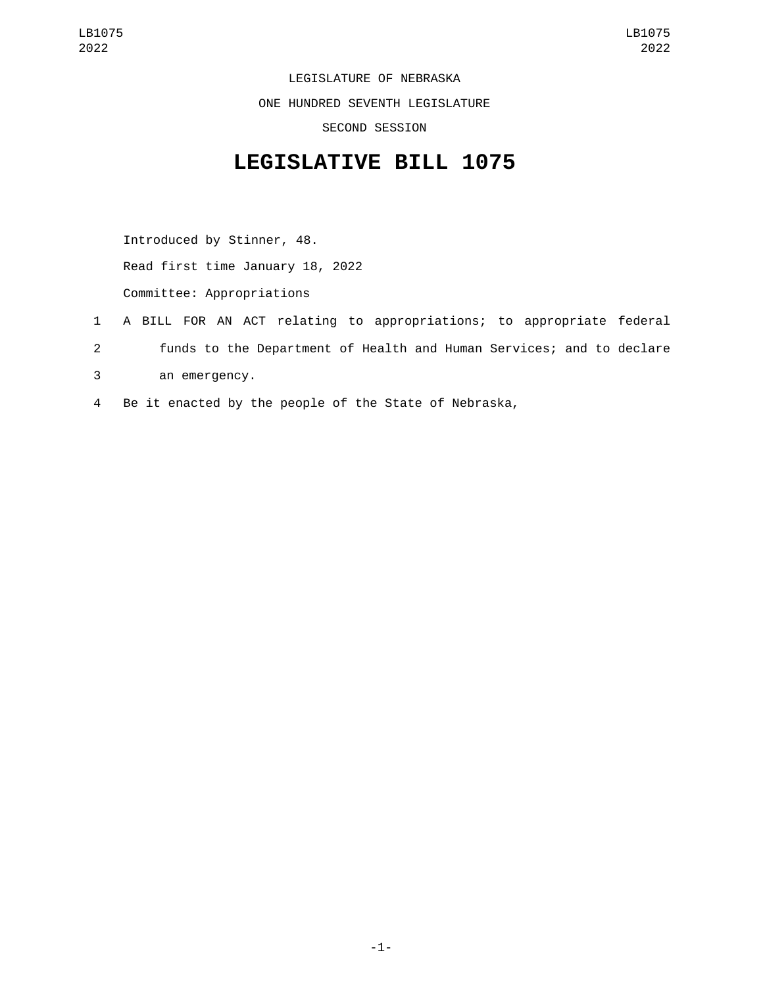LEGISLATURE OF NEBRASKA ONE HUNDRED SEVENTH LEGISLATURE SECOND SESSION

## **LEGISLATIVE BILL 1075**

Introduced by Stinner, 48. Read first time January 18, 2022 Committee: Appropriations

- 1 A BILL FOR AN ACT relating to appropriations; to appropriate federal 2 funds to the Department of Health and Human Services; and to declare an emergency.3
- 4 Be it enacted by the people of the State of Nebraska,